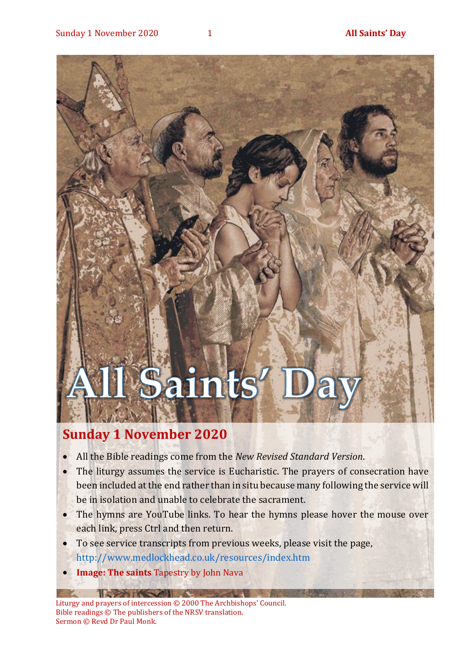•

# Saints

### **Sunday 1 November 2020**

- All the Bible readings come from the *New Revised Standard Version*.
- The liturgy assumes the service is Eucharistic. The prayers of consecration have been included at the end rather than in situ because many following the service will be in isolation and unable to celebrate the sacrament.
- The hymns are YouTube links. To hear the hymns please hover the mouse over each link, press Ctrl and then return.
- To see service transcripts from previous weeks, please visit the page, <http://www.medlockhead.co.uk/resources/index.htm>
- **Image: The saints Tapestry by John Nava**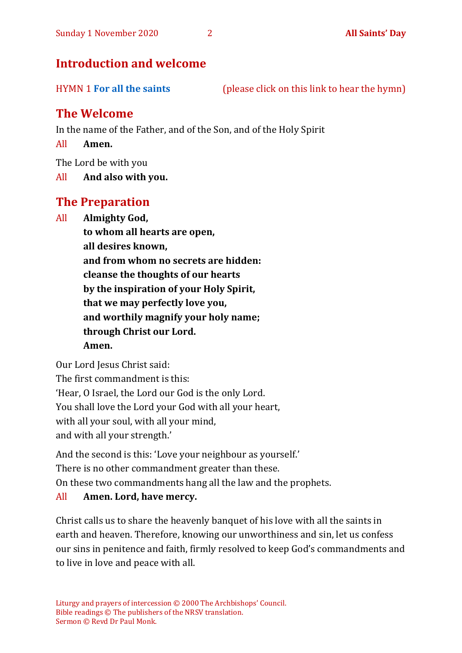#### **Introduction and welcome**

HYMN 1 **[For all the saints](https://youtu.be/mOC0Mb--FWY)** (please click on this link to hear the hymn)

#### **The Welcome**

In the name of the Father, and of the Son, and of the Holy Spirit

All **Amen.**

The Lord be with you

All **And also with you.**

#### **The Preparation**

All **Almighty God,**

**to whom all hearts are open, all desires known, and from whom no secrets are hidden: cleanse the thoughts of our hearts by the inspiration of your Holy Spirit, that we may perfectly love you, and worthily magnify your holy name; through Christ our Lord. Amen.**

Our Lord Jesus Christ said:

The first commandment is this: 'Hear, O Israel, the Lord our God is the only Lord. You shall love the Lord your God with all your heart, with all your soul, with all your mind, and with all your strength.'

And the second is this: 'Love your neighbour as yourself.' There is no other commandment greater than these. On these two commandments hang all the law and the prophets.

#### All **Amen. Lord, have mercy.**

Christ calls us to share the heavenly banquet of his love with all the saints in earth and heaven. Therefore, knowing our unworthiness and sin, let us confess our sins in penitence and faith, firmly resolved to keep God's commandments and to live in love and peace with all.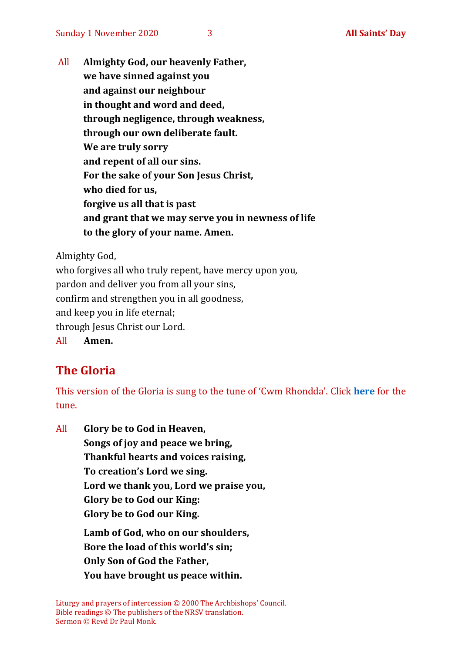All **Almighty God, our heavenly Father, we have sinned against you and against our neighbour in thought and word and deed, through negligence, through weakness, through our own deliberate fault. We are truly sorry and repent of all our sins. For the sake of your Son Jesus Christ, who died for us, forgive us all that is past and grant that we may serve you in newness of life to the glory of your name. Amen.**

Almighty God,

who forgives all who truly repent, have mercy upon you, pardon and deliver you from all your sins, confirm and strengthen you in all goodness, and keep you in life eternal; through Jesus Christ our Lord. All **Amen.**

#### **The Gloria**

This version of the Gloria is sung to the tune of 'Cwm Rhondda'. Click **[here](about:blank)** for the tune.

All **Glory be to God in Heaven, Songs of joy and peace we bring, Thankful hearts and voices raising, To creation's Lord we sing. Lord we thank you, Lord we praise you, Glory be to God our King: Glory be to God our King. Lamb of God, who on our shoulders, Bore the load of this world's sin; Only Son of God the Father, You have brought us peace within.**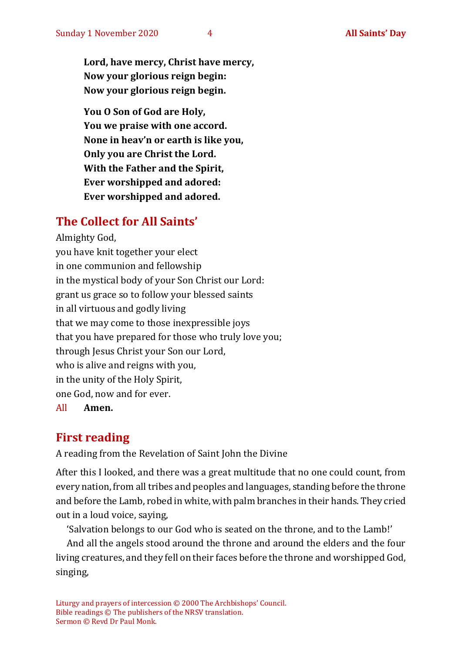**Lord, have mercy, Christ have mercy, Now your glorious reign begin: Now your glorious reign begin.**

**You O Son of God are Holy, You we praise with one accord. None in heav'n or earth is like you, Only you are Christ the Lord. With the Father and the Spirit, Ever worshipped and adored: Ever worshipped and adored.**

#### **The Collect for All Saints'**

Almighty God, you have knit together your elect in one communion and fellowship in the mystical body of your Son Christ our Lord: grant us grace so to follow your blessed saints in all virtuous and godly living that we may come to those inexpressible joys that you have prepared for those who truly love you; through Jesus Christ your Son our Lord, who is alive and reigns with you, in the unity of the Holy Spirit, one God, now and for ever. All **Amen.**

#### **First reading**

A reading from the Revelation of Saint John the Divine

After this I looked, and there was a great multitude that no one could count, from every nation, from all tribes and peoples and languages, standing before the throne and before the Lamb, robed in white, with palm branches in their hands. They cried out in a loud voice, saying,

'Salvation belongs to our God who is seated on the throne, and to the Lamb!'

And all the angels stood around the throne and around the elders and the four living creatures, and they fell on their faces before the throne and worshipped God, singing,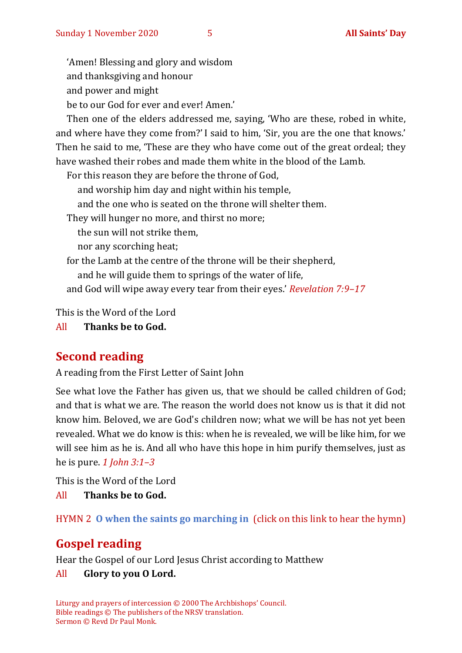'Amen! Blessing and glory and wisdom

and thanksgiving and honour

and power and might

be to our God for ever and ever! Amen.'

Then one of the elders addressed me, saying, 'Who are these, robed in white, and where have they come from?' I said to him, 'Sir, you are the one that knows.' Then he said to me, 'These are they who have come out of the great ordeal; they have washed their robes and made them white in the blood of the Lamb.

For this reason they are before the throne of God,

and worship him day and night within his temple,

and the one who is seated on the throne will shelter them.

They will hunger no more, and thirst no more;

the sun will not strike them,

nor any scorching heat;

for the Lamb at the centre of the throne will be their shepherd,

and he will guide them to springs of the water of life,

and God will wipe away every tear from their eyes.' *Revelation 7:9–17*

This is the Word of the Lord

All **Thanks be to God.**

#### **Second reading**

A reading from the First Letter of Saint John

See what love the Father has given us, that we should be called children of God; and that is what we are. The reason the world does not know us is that it did not know him. Beloved, we are God's children now; what we will be has not yet been revealed. What we do know is this: when he is revealed, we will be like him, for we will see him as he is. And all who have this hope in him purify themselves, just as he is pure. *1 John 3:1–3*

This is the Word of the Lord

All **Thanks be to God.**

HYMN 2 **[O when the saints go marching in](https://youtu.be/advlnJPEbEw)** (click on this link to hear the hymn)

#### **Gospel reading**

Hear the Gospel of our Lord Jesus Christ according to Matthew

#### All **Glory to you O Lord.**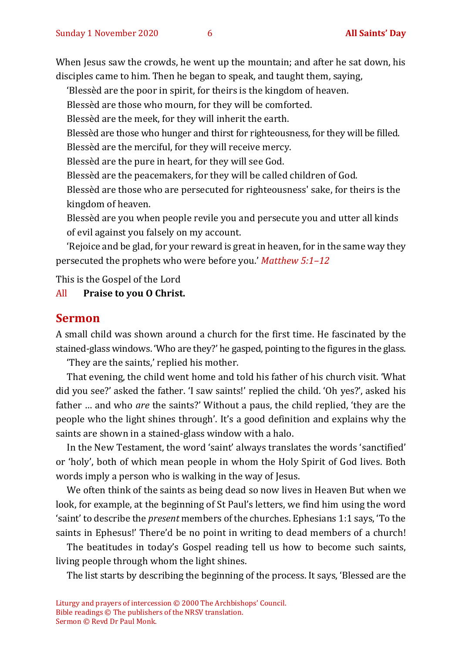When Jesus saw the crowds, he went up the mountain; and after he sat down, his disciples came to him. Then he began to speak, and taught them, saying,

'Blessèd are the poor in spirit, for theirs is the kingdom of heaven.

Blessèd are those who mourn, for they will be comforted.

Blessèd are the meek, for they will inherit the earth.

Blessèd are those who hunger and thirst for righteousness, for they will be filled.

Blessèd are the merciful, for they will receive mercy.

Blessèd are the pure in heart, for they will see God.

Blessèd are the peacemakers, for they will be called children of God.

Blessèd are those who are persecuted for righteousness' sake, for theirs is the kingdom of heaven.

Blessèd are you when people revile you and persecute you and utter all kinds of evil against you falsely on my account.

'Rejoice and be glad, for your reward is great in heaven, for in the same way they persecuted the prophets who were before you.' *Matthew 5:1–12*

This is the Gospel of the Lord

#### All **Praise to you O Christ.**

#### **Sermon**

A small child was shown around a church for the first time. He fascinated by the stained-glass windows. 'Who are they?' he gasped, pointing to the figures in the glass.

'They are the saints,' replied his mother.

That evening, the child went home and told his father of his church visit. 'What did you see?' asked the father. 'I saw saints!' replied the child. 'Oh yes?', asked his father … and who *are* the saints?' Without a paus, the child replied, 'they are the people who the light shines through'. It's a good definition and explains why the saints are shown in a stained-glass window with a halo.

In the New Testament, the word 'saint' always translates the words 'sanctified' or 'holy', both of which mean people in whom the Holy Spirit of God lives. Both words imply a person who is walking in the way of Jesus.

We often think of the saints as being dead so now lives in Heaven But when we look, for example, at the beginning of St Paul's letters, we find him using the word 'saint' to describe the *present* members of the churches. Ephesians 1:1 says, 'To the saints in Ephesus!' There'd be no point in writing to dead members of a church!

The beatitudes in today's Gospel reading tell us how to become such saints, living people through whom the light shines.

The list starts by describing the beginning of the process. It says, 'Blessed are the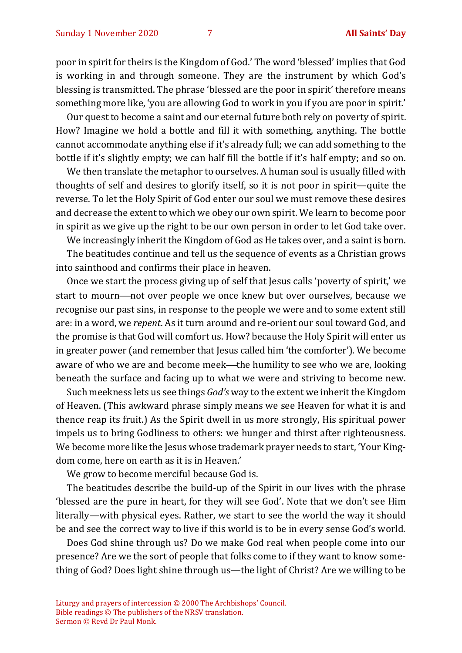poor in spirit for theirs is the Kingdom of God.' The word 'blessed' implies that God is working in and through someone. They are the instrument by which God's blessing is transmitted. The phrase 'blessed are the poor in spirit' therefore means something more like, 'you are allowing God to work in you if you are poor in spirit.'

Our quest to become a saint and our eternal future both rely on poverty of spirit. How? Imagine we hold a bottle and fill it with something, anything. The bottle cannot accommodate anything else if it's already full; we can add something to the bottle if it's slightly empty; we can half fill the bottle if it's half empty; and so on.

We then translate the metaphor to ourselves. A human soul is usually filled with thoughts of self and desires to glorify itself, so it is not poor in spirit—quite the reverse. To let the Holy Spirit of God enter our soul we must remove these desires and decrease the extent to which we obey our own spirit. We learn to become poor in spirit as we give up the right to be our own person in order to let God take over.

We increasingly inherit the Kingdom of God as He takes over, and a saint is born.

The beatitudes continue and tell us the sequence of events as a Christian grows into sainthood and confirms their place in heaven.

Once we start the process giving up of self that Jesus calls 'poverty of spirit,' we start to mourn—not over people we once knew but over ourselves, because we recognise our past sins, in response to the people we were and to some extent still are: in a word, we *repent*. As it turn around and re-orient our soul toward God, and the promise is that God will comfort us. How? because the Holy Spirit will enter us in greater power (and remember that Jesus called him 'the comforter'). We become aware of who we are and become meek—the humility to see who we are, looking beneath the surface and facing up to what we were and striving to become new.

Such meekness lets us see things *God's* way to the extent we inherit the Kingdom of Heaven. (This awkward phrase simply means we see Heaven for what it is and thence reap its fruit.) As the Spirit dwell in us more strongly, His spiritual power impels us to bring Godliness to others: we hunger and thirst after righteousness. We become more like the Jesus whose trademark prayer needs to start, 'Your Kingdom come, here on earth as it is in Heaven.'

We grow to become merciful because God is.

The beatitudes describe the build-up of the Spirit in our lives with the phrase 'blessed are the pure in heart, for they will see God'. Note that we don't see Him literally—with physical eyes. Rather, we start to see the world the way it should be and see the correct way to live if this world is to be in every sense God's world.

Does God shine through us? Do we make God real when people come into our presence? Are we the sort of people that folks come to if they want to know something of God? Does light shine through us—the light of Christ? Are we willing to be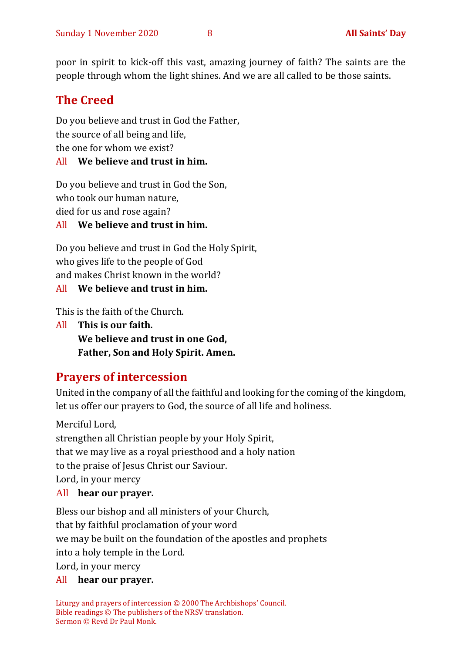poor in spirit to kick-off this vast, amazing journey of faith? The saints are the people through whom the light shines. And we are all called to be those saints.

#### **The Creed**

Do you believe and trust in God the Father, the source of all being and life, the one for whom we exist? All **We believe and trust in him.**

Do you believe and trust in God the Son, who took our human nature, died for us and rose again?

#### All **We believe and trust in him.**

Do you believe and trust in God the Holy Spirit, who gives life to the people of God and makes Christ known in the world?

#### All **We believe and trust in him.**

This is the faith of the Church.

All **This is our faith. We believe and trust in one God, Father, Son and Holy Spirit. Amen.**

#### **Prayers of intercession**

United in the company of all the faithful and looking for the coming of the kingdom, let us offer our prayers to God, the source of all life and holiness.

Merciful Lord, strengthen all Christian people by your Holy Spirit, that we may live as a royal priesthood and a holy nation to the praise of Jesus Christ our Saviour. Lord, in your mercy All **hear our prayer.**

Bless our bishop and all ministers of your Church, that by faithful proclamation of your word we may be built on the foundation of the apostles and prophets into a holy temple in the Lord. Lord, in your mercy

#### All **hear our prayer.**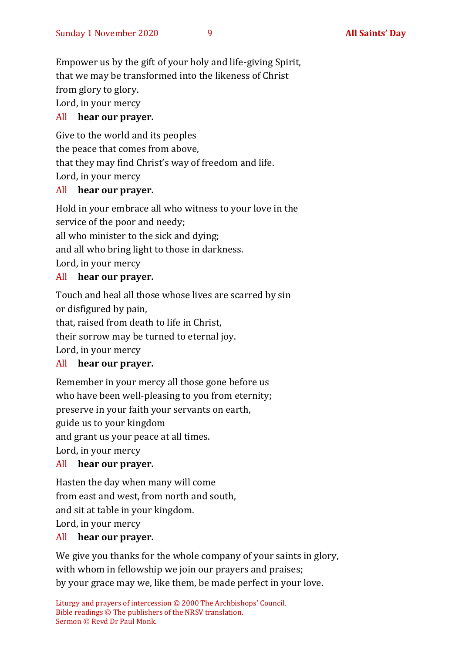Empower us by the gift of your holy and life-giving Spirit, that we may be transformed into the likeness of Christ from glory to glory.

Lord, in your mercy

#### All **hear our prayer.**

Give to the world and its peoples the peace that comes from above, that they may find Christ's way of freedom and life. Lord, in your mercy

#### All **hear our prayer.**

Hold in your embrace all who witness to your love in the service of the poor and needy; all who minister to the sick and dying; and all who bring light to those in darkness. Lord, in your mercy

#### All **hear our prayer.**

Touch and heal all those whose lives are scarred by sin or disfigured by pain, that, raised from death to life in Christ, their sorrow may be turned to eternal joy. Lord, in your mercy

#### All **hear our prayer.**

Remember in your mercy all those gone before us who have been well-pleasing to you from eternity; preserve in your faith your servants on earth, guide us to your kingdom and grant us your peace at all times. Lord, in your mercy

#### All **hear our prayer.**

Hasten the day when many will come from east and west, from north and south, and sit at table in your kingdom. Lord, in your mercy

#### All **hear our prayer.**

We give you thanks for the whole company of your saints in glory, with whom in fellowship we join our prayers and praises; by your grace may we, like them, be made perfect in your love.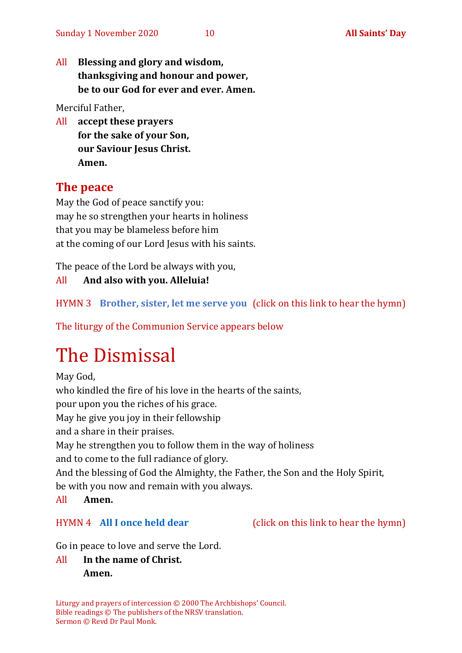All **Blessing and glory and wisdom, thanksgiving and honour and power, be to our God for ever and ever. Amen.**

Merciful Father,

All **accept these prayers for the sake of your Son, our Saviour Jesus Christ. Amen.**

#### **The peace**

May the God of peace sanctify you: may he so strengthen your hearts in holiness that you may be blameless before him at the coming of our Lord Jesus with his saints.

The peace of the Lord be always with you,

#### All **And also with you. Alleluia!**

HYMN 3 **[Brother, sister, let me serve you](https://youtu.be/hlNoxoOocZs)** (click on this link to hear the hymn)

The liturgy of the Communion Service appears below

# The Dismissal

May God, who kindled the fire of his love in the hearts of the saints, pour upon you the riches of his grace. May he give you joy in their fellowship and a share in their praises. May he strengthen you to follow them in the way of holiness and to come to the full radiance of glory. And the blessing of God the Almighty, the Father, the Son and the Holy Spirit, be with you now and remain with you always. All **Amen.**

Go in peace to love and serve the Lord.

All **In the name of Christ. Amen.**

Liturgy and prayers of intercession © 2000 The Archbishops' Council. Bible readings © The publishers of the NRSV translation. Sermon © Revd Dr Paul Monk.

HYMN 4 **[All I once held dear](https://www.youtube.com/watch?v=oxpPIa-BskY)** (click on this link to hear the hymn)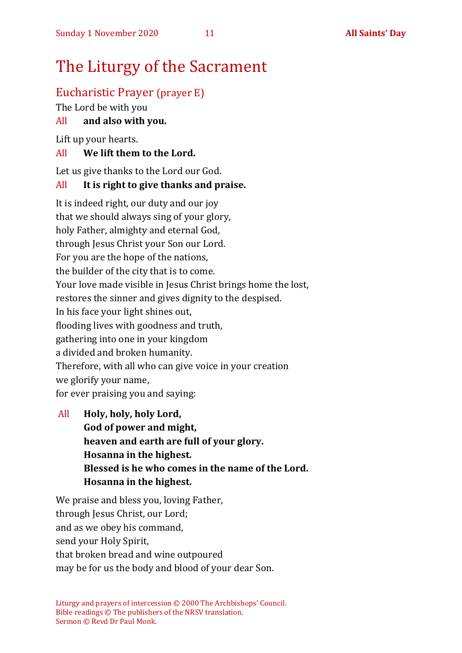## The Liturgy of the Sacrament

#### Eucharistic Prayer (prayer E)

The Lord be with you

#### All **and also with you.**

Lift up your hearts.

#### All **We lift them to the Lord.**

Let us give thanks to the Lord our God.

#### All **It is right to give thanks and praise.**

It is indeed right, our duty and our joy that we should always sing of your glory, holy Father, almighty and eternal God, through Jesus Christ your Son our Lord. For you are the hope of the nations, the builder of the city that is to come. Your love made visible in Jesus Christ brings home the lost, restores the sinner and gives dignity to the despised. In his face your light shines out, flooding lives with goodness and truth, gathering into one in your kingdom a divided and broken humanity. Therefore, with all who can give voice in your creation we glorify your name, for ever praising you and saying:

All **Holy, holy, holy Lord, God of power and might, heaven and earth are full of your glory. Hosanna in the highest. Blessed is he who comes in the name of the Lord. Hosanna in the highest.**

We praise and bless you, loving Father, through Jesus Christ, our Lord: and as we obey his command, send your Holy Spirit, that broken bread and wine outpoured may be for us the body and blood of your dear Son.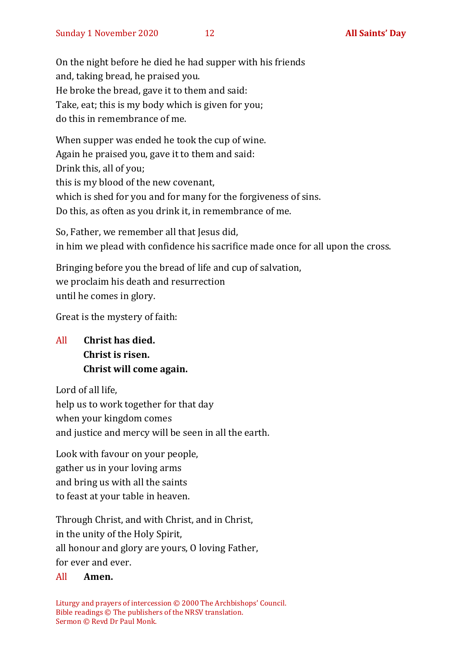On the night before he died he had supper with his friends and, taking bread, he praised you. He broke the bread, gave it to them and said: Take, eat; this is my body which is given for you; do this in remembrance of me.

When supper was ended he took the cup of wine. Again he praised you, gave it to them and said: Drink this, all of you; this is my blood of the new covenant, which is shed for you and for many for the forgiveness of sins. Do this, as often as you drink it, in remembrance of me.

So, Father, we remember all that Jesus did, in him we plead with confidence his sacrifice made once for all upon the cross.

Bringing before you the bread of life and cup of salvation, we proclaim his death and resurrection until he comes in glory.

Great is the mystery of faith:

#### All **Christ has died. Christ is risen. Christ will come again.**

Lord of all life, help us to work together for that day when your kingdom comes and justice and mercy will be seen in all the earth.

Look with favour on your people, gather us in your loving arms and bring us with all the saints to feast at your table in heaven.

Through Christ, and with Christ, and in Christ, in the unity of the Holy Spirit, all honour and glory are yours, O loving Father, for ever and ever.

#### All **Amen.**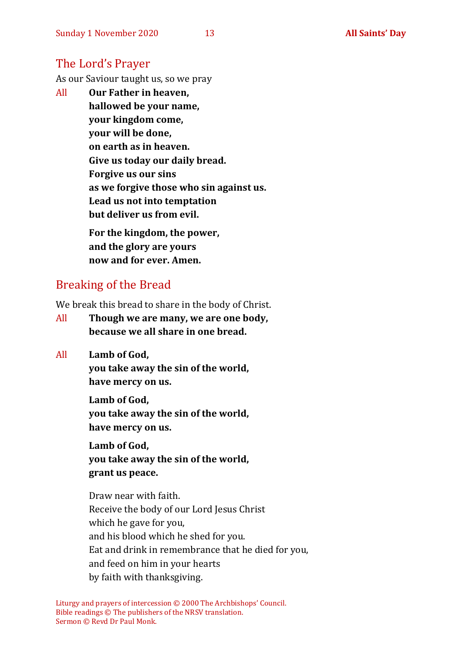#### The Lord's Prayer

As our Saviour taught us, so we pray

All **Our Father in heaven, hallowed be your name, your kingdom come, your will be done, on earth as in heaven. Give us today our daily bread. Forgive us our sins as we forgive those who sin against us. Lead us not into temptation but deliver us from evil. For the kingdom, the power,** 

**and the glory are yours now and for ever. Amen.**

#### Breaking of the Bread

We break this bread to share in the body of Christ.

- All **Though we are many, we are one body, because we all share in one bread.**
- All **Lamb of God,**

**you take away the sin of the world, have mercy on us.**

**Lamb of God, you take away the sin of the world, have mercy on us.**

**Lamb of God, you take away the sin of the world, grant us peace.**

Draw near with faith. Receive the body of our Lord Jesus Christ which he gave for you, and his blood which he shed for you. Eat and drink in remembrance that he died for you, and feed on him in your hearts by faith with thanksgiving.